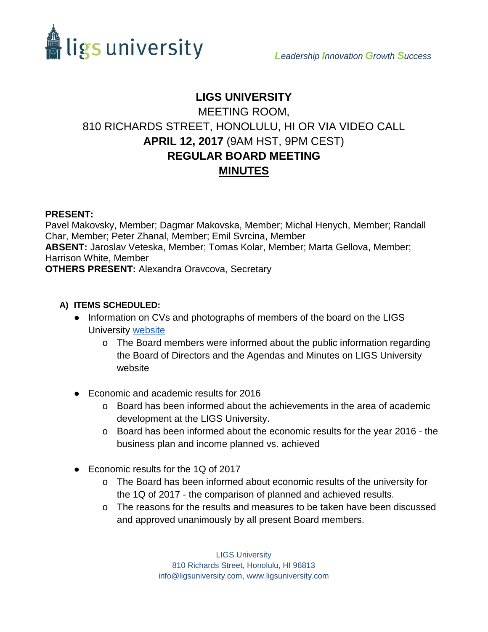



# **LIGS UNIVERSITY** MEETING ROOM, 810 RICHARDS STREET, HONOLULU, HI OR VIA VIDEO CALL **APRIL 12, 2017** (9AM HST, 9PM CEST) **REGULAR BOARD MEETING MINUTES**

### **PRESENT:**

Pavel Makovsky, Member; Dagmar Makovska, Member; Michal Henych, Member; Randall Char, Member; Peter Zhanal, Member; Emil Svrcina, Member **ABSENT:** Jaroslav Veteska, Member; Tomas Kolar, Member; Marta Gellova, Member; Harrison White, Member **OTHERS PRESENT:** Alexandra Oravcova, Secretary

#### **A) ITEMS SCHEDULED:**

- Information on CVs and photographs of members of the board on the LIGS University [website](http://www.ligsuniversity.com/about-ligs/board-of-directors/)
	- o The Board members were informed about the public information regarding the Board of Directors and the Agendas and Minutes on LIGS University website
- Economic and academic results for 2016
	- o Board has been informed about the achievements in the area of academic development at the LIGS University.
	- o Board has been informed about the economic results for the year 2016 the business plan and income planned vs. achieved
- Economic results for the 1Q of 2017
	- o The Board has been informed about economic results of the university for the 1Q of 2017 - the comparison of planned and achieved results.
	- o The reasons for the results and measures to be taken have been discussed and approved unanimously by all present Board members.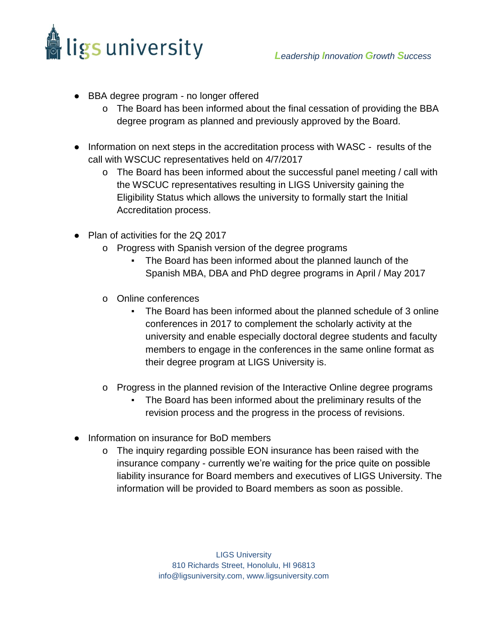

- BBA degree program no longer offered
	- o The Board has been informed about the final cessation of providing the BBA degree program as planned and previously approved by the Board.
- Information on next steps in the accreditation process with WASC results of the call with WSCUC representatives held on 4/7/2017
	- o The Board has been informed about the successful panel meeting / call with the WSCUC representatives resulting in LIGS University gaining the Eligibility Status which allows the university to formally start the Initial Accreditation process.
- Plan of activities for the 2Q 2017
	- o Progress with Spanish version of the degree programs
		- The Board has been informed about the planned launch of the Spanish MBA, DBA and PhD degree programs in April / May 2017
	- o Online conferences
		- The Board has been informed about the planned schedule of 3 online conferences in 2017 to complement the scholarly activity at the university and enable especially doctoral degree students and faculty members to engage in the conferences in the same online format as their degree program at LIGS University is.
	- o Progress in the planned revision of the Interactive Online degree programs
		- The Board has been informed about the preliminary results of the revision process and the progress in the process of revisions.
- Information on insurance for BoD members
	- o The inquiry regarding possible EON insurance has been raised with the insurance company - currently we're waiting for the price quite on possible liability insurance for Board members and executives of LIGS University. The information will be provided to Board members as soon as possible.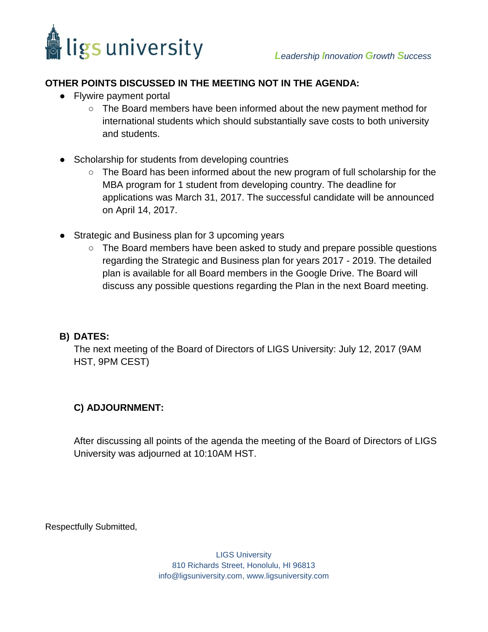

## **OTHER POINTS DISCUSSED IN THE MEETING NOT IN THE AGENDA:**

- Flywire payment portal
	- The Board members have been informed about the new payment method for international students which should substantially save costs to both university and students.
- Scholarship for students from developing countries
	- The Board has been informed about the new program of full scholarship for the MBA program for 1 student from developing country. The deadline for applications was March 31, 2017. The successful candidate will be announced on April 14, 2017.
- Strategic and Business plan for 3 upcoming years
	- The Board members have been asked to study and prepare possible questions regarding the Strategic and Business plan for years 2017 - 2019. The detailed plan is available for all Board members in the Google Drive. The Board will discuss any possible questions regarding the Plan in the next Board meeting.

#### **B) DATES:**

The next meeting of the Board of Directors of LIGS University: July 12, 2017 (9AM HST, 9PM CEST)

## **C) ADJOURNMENT:**

After discussing all points of the agenda the meeting of the Board of Directors of LIGS University was adjourned at 10:10AM HST.

Respectfully Submitted,

LIGS University 810 Richards Street, Honolulu, HI 96813 info@ligsuniversity.com, www.ligsuniversity.com